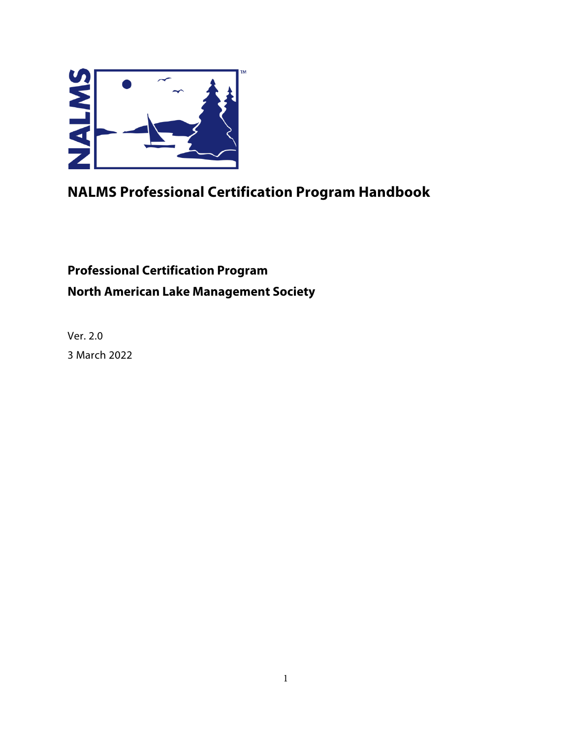

# **NALMS Professional Certification Program Handbook**

# **Professional Certification Program North American Lake Management Society**

Ver. 2.0 3 March 2022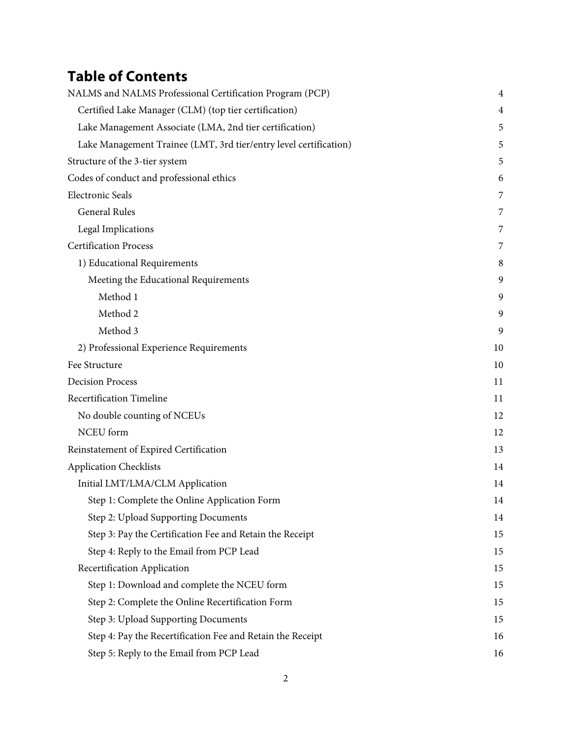# **Table of Contents**

| NALMS and NALMS Professional Certification Program (PCP)          | $\overline{4}$ |
|-------------------------------------------------------------------|----------------|
| Certified Lake Manager (CLM) (top tier certification)             | 4              |
| Lake Management Associate (LMA, 2nd tier certification)           | 5              |
| Lake Management Trainee (LMT, 3rd tier/entry level certification) | 5              |
| Structure of the 3-tier system                                    | 5              |
| Codes of conduct and professional ethics                          | 6              |
| <b>Electronic Seals</b>                                           | 7              |
| <b>General Rules</b>                                              | 7              |
| <b>Legal Implications</b>                                         | 7              |
| <b>Certification Process</b>                                      | 7              |
| 1) Educational Requirements                                       | 8              |
| Meeting the Educational Requirements                              | 9              |
| Method 1                                                          | 9              |
| Method 2                                                          | 9              |
| Method 3                                                          | 9              |
| 2) Professional Experience Requirements                           | 10             |
| Fee Structure                                                     | 10             |
| <b>Decision Process</b>                                           | 11             |
| Recertification Timeline                                          | 11             |
| No double counting of NCEUs                                       | 12             |
| NCEU form                                                         | 12             |
| Reinstatement of Expired Certification                            | 13             |
| <b>Application Checklists</b>                                     | 14             |
| Initial LMT/LMA/CLM Application                                   | 14             |
| Step 1: Complete the Online Application Form                      | 14             |
| Step 2: Upload Supporting Documents                               | 14             |
| Step 3: Pay the Certification Fee and Retain the Receipt          | 15             |
| Step 4: Reply to the Email from PCP Lead                          | 15             |
| Recertification Application                                       | 15             |
| Step 1: Download and complete the NCEU form                       | 15             |
| Step 2: Complete the Online Recertification Form                  | 15             |
| Step 3: Upload Supporting Documents                               | 15             |
| Step 4: Pay the Recertification Fee and Retain the Receipt        | 16             |
| Step 5: Reply to the Email from PCP Lead                          | 16             |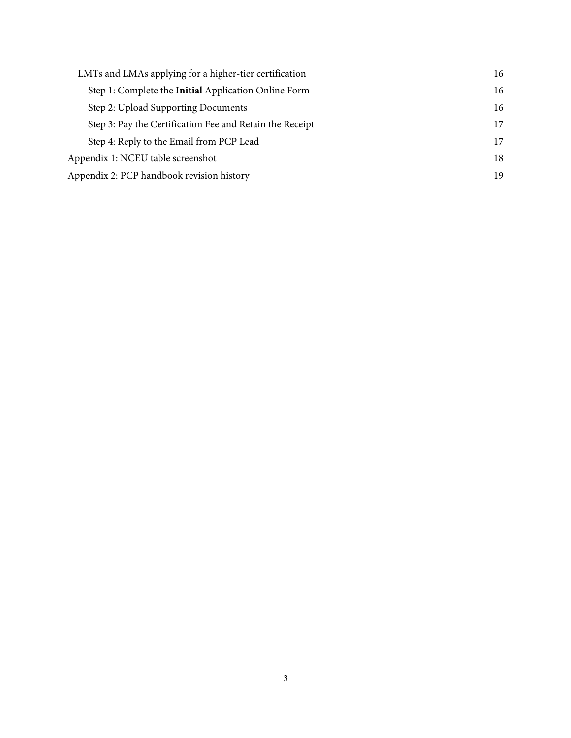| LMTs and LMAs applying for a higher-tier certification   | 16 |
|----------------------------------------------------------|----|
| Step 1: Complete the Initial Application Online Form     | 16 |
| Step 2: Upload Supporting Documents                      | 16 |
| Step 3: Pay the Certification Fee and Retain the Receipt | 17 |
| Step 4: Reply to the Email from PCP Lead                 | 17 |
| Appendix 1: NCEU table screenshot                        | 18 |
| Appendix 2: PCP handbook revision history                | 19 |
|                                                          |    |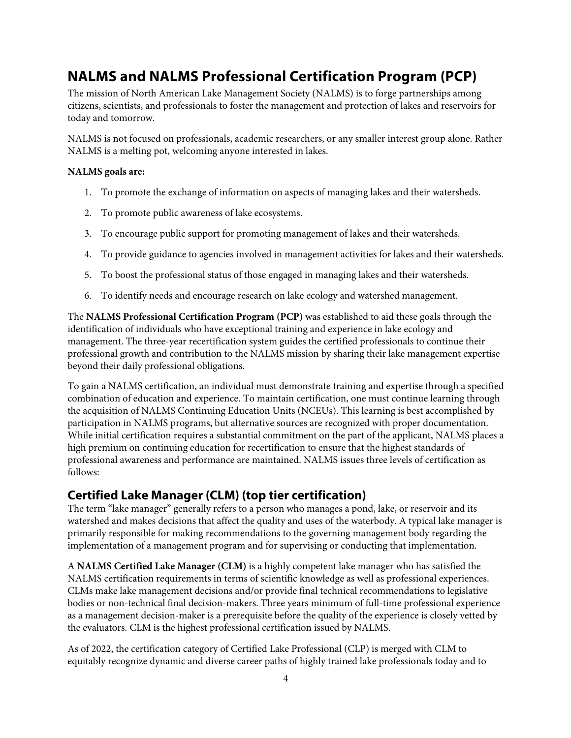## **NALMS and NALMS Professional Certification Program (PCP)**

The mission of North American Lake Management Society (NALMS) is to forge partnerships among citizens, scientists, and professionals to foster the management and protection of lakes and reservoirs for today and tomorrow.

NALMS is not focused on professionals, academic researchers, or any smaller interest group alone. Rather NALMS is a melting pot, welcoming anyone interested in lakes.

#### **NALMS goals are:**

- 1. To promote the exchange of information on aspects of managing lakes and their watersheds.
- 2. To promote public awareness of lake ecosystems.
- 3. To encourage public support for promoting management of lakes and their watersheds.
- 4. To provide guidance to agencies involved in management activities for lakes and their watersheds.
- 5. To boost the professional status of those engaged in managing lakes and their watersheds.
- 6. To identify needs and encourage research on lake ecology and watershed management.

The **NALMS Professional Certification Program (PCP)** was established to aid these goals through the identification of individuals who have exceptional training and experience in lake ecology and management. The three-year recertification system guides the certified professionals to continue their professional growth and contribution to the NALMS mission by sharing their lake management expertise beyond their daily professional obligations.

To gain a NALMS certification, an individual must demonstrate training and expertise through a specified combination of education and experience. To maintain certification, one must continue learning through the acquisition of NALMS Continuing Education Units (NCEUs). This learning is best accomplished by participation in NALMS programs, but alternative sources are recognized with proper documentation. While initial certification requires a substantial commitment on the part of the applicant, NALMS places a high premium on continuing education for recertification to ensure that the highest standards of professional awareness and performance are maintained. NALMS issues three levels of certification as follows:

### **Certified Lake Manager (CLM) (top tier certification)**

The term "lake manager" generally refers to a person who manages a pond, lake, or reservoir and its watershed and makes decisions that affect the quality and uses of the waterbody. A typical lake manager is primarily responsible for making recommendations to the governing management body regarding the implementation of a management program and for supervising or conducting that implementation.

A **NALMS Certified Lake Manager (CLM)** is a highly competent lake manager who has satisfied the NALMS certification requirements in terms of scientific knowledge as well as professional experiences. CLMs make lake management decisions and/or provide final technical recommendations to legislative bodies or non-technical final decision-makers. Three years minimum of full-time professional experience as a management decision-maker is a prerequisite before the quality of the experience is closely vetted by the evaluators. CLM is the highest professional certification issued by NALMS.

As of 2022, the certification category of Certified Lake Professional (CLP) is merged with CLM to equitably recognize dynamic and diverse career paths of highly trained lake professionals today and to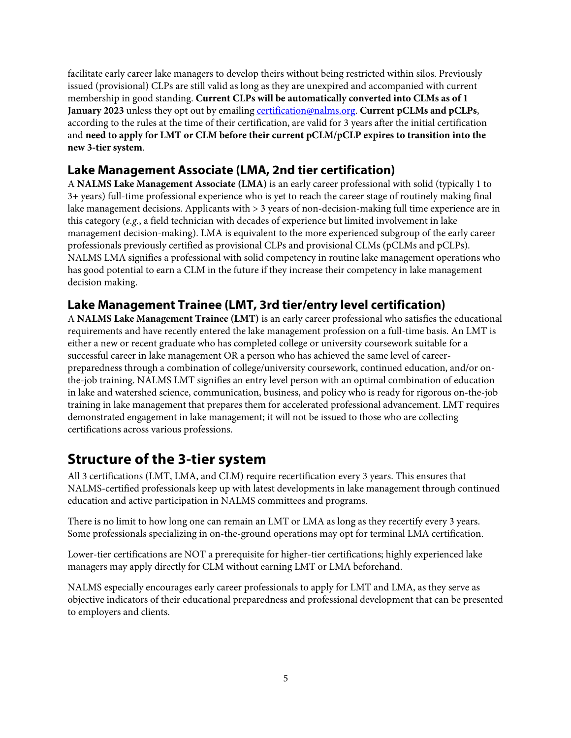facilitate early career lake managers to develop theirs without being restricted within silos. Previously issued (provisional) CLPs are still valid as long as they are unexpired and accompanied with current membership in good standing. **Current CLPs will be automatically converted into CLMs as of 1 January 2023** unless they opt out by emailing certification@nalms.org. **Current pCLMs and pCLPs**, according to the rules at the time of their certification, are valid for 3 years after the initial certification and **need to apply for LMT or CLM before their current pCLM/pCLP expires to transition into the new 3-tier system**.

### **Lake Management Associate (LMA, 2nd tier certification)**

A **NALMS Lake Management Associate (LMA)** is an early career professional with solid (typically 1 to 3+ years) full-time professional experience who is yet to reach the career stage of routinely making final lake management decisions. Applicants with > 3 years of non-decision-making full time experience are in this category (*e.g.*, a field technician with decades of experience but limited involvement in lake management decision-making). LMA is equivalent to the more experienced subgroup of the early career professionals previously certified as provisional CLPs and provisional CLMs (pCLMs and pCLPs). NALMS LMA signifies a professional with solid competency in routine lake management operations who has good potential to earn a CLM in the future if they increase their competency in lake management decision making.

### **Lake Management Trainee (LMT, 3rd tier/entry level certification)**

A **NALMS Lake Management Trainee (LMT)** is an early career professional who satisfies the educational requirements and have recently entered the lake management profession on a full-time basis. An LMT is either a new or recent graduate who has completed college or university coursework suitable for a successful career in lake management OR a person who has achieved the same level of careerpreparedness through a combination of college/university coursework, continued education, and/or onthe-job training. NALMS LMT signifies an entry level person with an optimal combination of education in lake and watershed science, communication, business, and policy who is ready for rigorous on-the-job training in lake management that prepares them for accelerated professional advancement. LMT requires demonstrated engagement in lake management; it will not be issued to those who are collecting certifications across various professions.

## **Structure of the 3-tier system**

All 3 certifications (LMT, LMA, and CLM) require recertification every 3 years. This ensures that NALMS-certified professionals keep up with latest developments in lake management through continued education and active participation in NALMS committees and programs.

There is no limit to how long one can remain an LMT or LMA as long as they recertify every 3 years. Some professionals specializing in on-the-ground operations may opt for terminal LMA certification.

Lower-tier certifications are NOT a prerequisite for higher-tier certifications; highly experienced lake managers may apply directly for CLM without earning LMT or LMA beforehand.

NALMS especially encourages early career professionals to apply for LMT and LMA, as they serve as objective indicators of their educational preparedness and professional development that can be presented to employers and clients.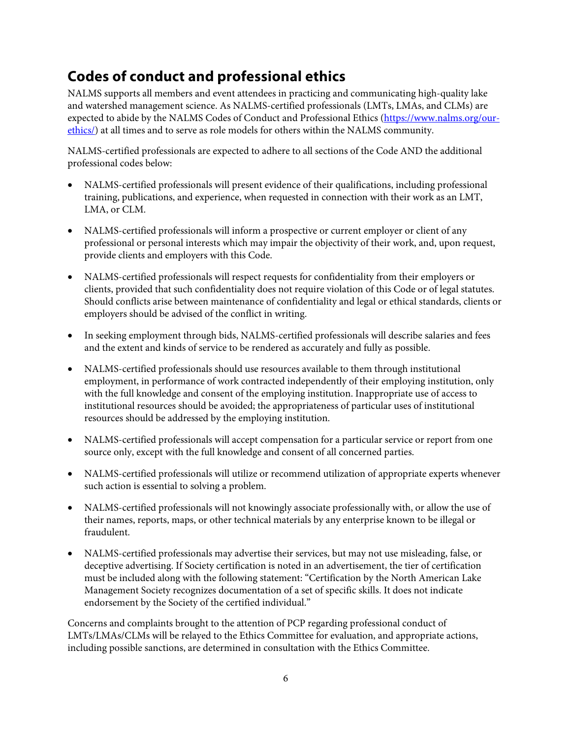## **Codes of conduct and professional ethics**

NALMS supports all members and event attendees in practicing and communicating high-quality lake and watershed management science. As NALMS-certified professionals (LMTs, LMAs, and CLMs) are expected to abide by the NALMS Codes of Conduct and Professional Ethics (https://www.nalms.org/ourethics/) at all times and to serve as role models for others within the NALMS community.

NALMS-certified professionals are expected to adhere to all sections of the Code AND the additional professional codes below:

- NALMS-certified professionals will present evidence of their qualifications, including professional training, publications, and experience, when requested in connection with their work as an LMT, LMA, or CLM.
- NALMS-certified professionals will inform a prospective or current employer or client of any professional or personal interests which may impair the objectivity of their work, and, upon request, provide clients and employers with this Code.
- NALMS-certified professionals will respect requests for confidentiality from their employers or clients, provided that such confidentiality does not require violation of this Code or of legal statutes. Should conflicts arise between maintenance of confidentiality and legal or ethical standards, clients or employers should be advised of the conflict in writing.
- In seeking employment through bids, NALMS-certified professionals will describe salaries and fees and the extent and kinds of service to be rendered as accurately and fully as possible.
- NALMS-certified professionals should use resources available to them through institutional employment, in performance of work contracted independently of their employing institution, only with the full knowledge and consent of the employing institution. Inappropriate use of access to institutional resources should be avoided; the appropriateness of particular uses of institutional resources should be addressed by the employing institution.
- NALMS-certified professionals will accept compensation for a particular service or report from one source only, except with the full knowledge and consent of all concerned parties.
- NALMS-certified professionals will utilize or recommend utilization of appropriate experts whenever such action is essential to solving a problem.
- NALMS-certified professionals will not knowingly associate professionally with, or allow the use of their names, reports, maps, or other technical materials by any enterprise known to be illegal or fraudulent.
- NALMS-certified professionals may advertise their services, but may not use misleading, false, or deceptive advertising. If Society certification is noted in an advertisement, the tier of certification must be included along with the following statement: "Certification by the North American Lake Management Society recognizes documentation of a set of specific skills. It does not indicate endorsement by the Society of the certified individual."

Concerns and complaints brought to the attention of PCP regarding professional conduct of LMTs/LMAs/CLMs will be relayed to the Ethics Committee for evaluation, and appropriate actions, including possible sanctions, are determined in consultation with the Ethics Committee.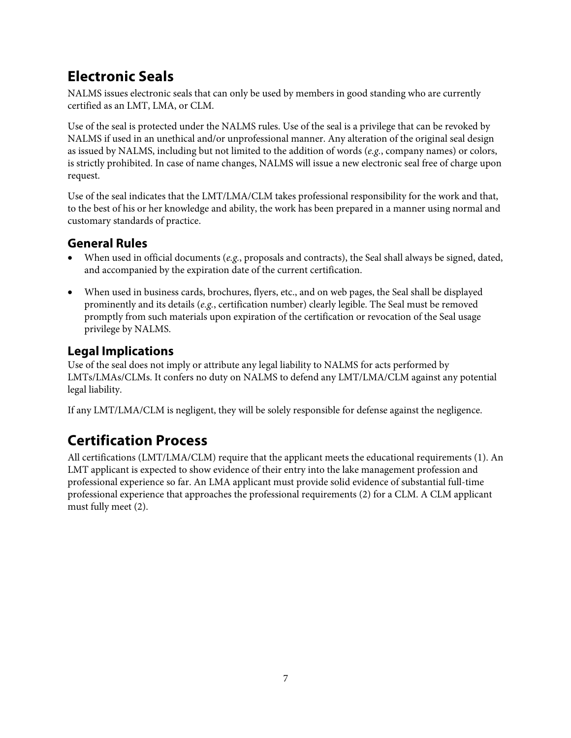## **Electronic Seals**

NALMS issues electronic seals that can only be used by members in good standing who are currently certified as an LMT, LMA, or CLM.

Use of the seal is protected under the NALMS rules. Use of the seal is a privilege that can be revoked by NALMS if used in an unethical and/or unprofessional manner. Any alteration of the original seal design as issued by NALMS, including but not limited to the addition of words (*e.g.*, company names) or colors, is strictly prohibited. In case of name changes, NALMS will issue a new electronic seal free of charge upon request.

Use of the seal indicates that the LMT/LMA/CLM takes professional responsibility for the work and that, to the best of his or her knowledge and ability, the work has been prepared in a manner using normal and customary standards of practice.

### **General Rules**

- When used in official documents (*e.g.*, proposals and contracts), the Seal shall always be signed, dated, and accompanied by the expiration date of the current certification.
- When used in business cards, brochures, flyers, etc., and on web pages, the Seal shall be displayed prominently and its details (*e.g.*, certification number) clearly legible. The Seal must be removed promptly from such materials upon expiration of the certification or revocation of the Seal usage privilege by NALMS.

### **Legal Implications**

Use of the seal does not imply or attribute any legal liability to NALMS for acts performed by LMTs/LMAs/CLMs. It confers no duty on NALMS to defend any LMT/LMA/CLM against any potential legal liability.

If any LMT/LMA/CLM is negligent, they will be solely responsible for defense against the negligence.

# **Certification Process**

All certifications (LMT/LMA/CLM) require that the applicant meets the educational requirements (1). An LMT applicant is expected to show evidence of their entry into the lake management profession and professional experience so far. An LMA applicant must provide solid evidence of substantial full-time professional experience that approaches the professional requirements (2) for a CLM. A CLM applicant must fully meet (2).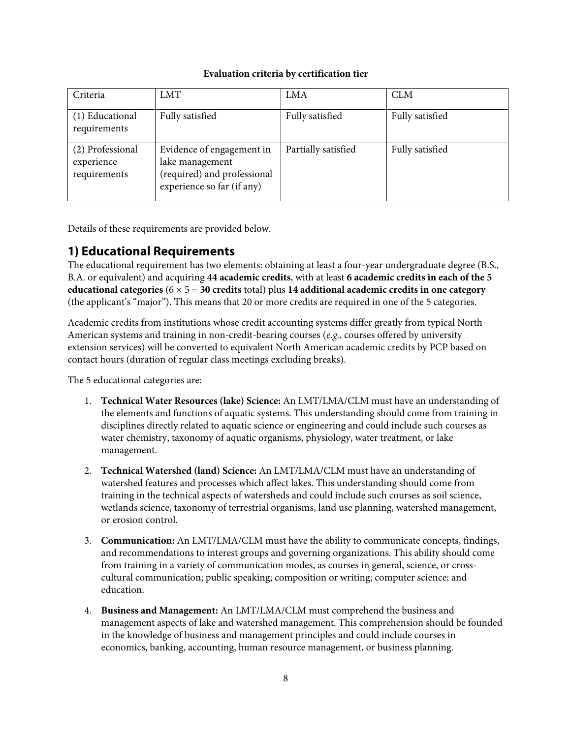#### **Evaluation criteria by certification tier**

| Criteria                                       | <b>LMT</b>                                                                                                | LMA                 | <b>CLM</b>      |
|------------------------------------------------|-----------------------------------------------------------------------------------------------------------|---------------------|-----------------|
| (1) Educational<br>requirements                | Fully satisfied                                                                                           | Fully satisfied     | Fully satisfied |
| (2) Professional<br>experience<br>requirements | Evidence of engagement in<br>lake management<br>(required) and professional<br>experience so far (if any) | Partially satisfied | Fully satisfied |

Details of these requirements are provided below.

### **1) Educational Requirements**

The educational requirement has two elements: obtaining at least a four-year undergraduate degree (B.S., B.A. or equivalent) and acquiring **44 academic credits**, with at least **6 academic credits in each of the 5 educational categories** (6 × 5 = **30 credits** total) plus **14 additional academic credits in one category** (the applicant's "major"). This means that 20 or more credits are required in one of the 5 categories.

Academic credits from institutions whose credit accounting systems differ greatly from typical North American systems and training in non-credit-bearing courses (*e.g.*, courses offered by university extension services) will be converted to equivalent North American academic credits by PCP based on contact hours (duration of regular class meetings excluding breaks).

The 5 educational categories are:

- 1. **Technical Water Resources (lake) Science:** An LMT/LMA/CLM must have an understanding of the elements and functions of aquatic systems. This understanding should come from training in disciplines directly related to aquatic science or engineering and could include such courses as water chemistry, taxonomy of aquatic organisms, physiology, water treatment, or lake management.
- 2. **Technical Watershed (land) Science:** An LMT/LMA/CLM must have an understanding of watershed features and processes which affect lakes. This understanding should come from training in the technical aspects of watersheds and could include such courses as soil science, wetlands science, taxonomy of terrestrial organisms, land use planning, watershed management, or erosion control.
- 3. **Communication:** An LMT/LMA/CLM must have the ability to communicate concepts, findings, and recommendations to interest groups and governing organizations. This ability should come from training in a variety of communication modes, as courses in general, science, or crosscultural communication; public speaking; composition or writing; computer science; and education.
- 4. **Business and Management:** An LMT/LMA/CLM must comprehend the business and management aspects of lake and watershed management. This comprehension should be founded in the knowledge of business and management principles and could include courses in economics, banking, accounting, human resource management, or business planning.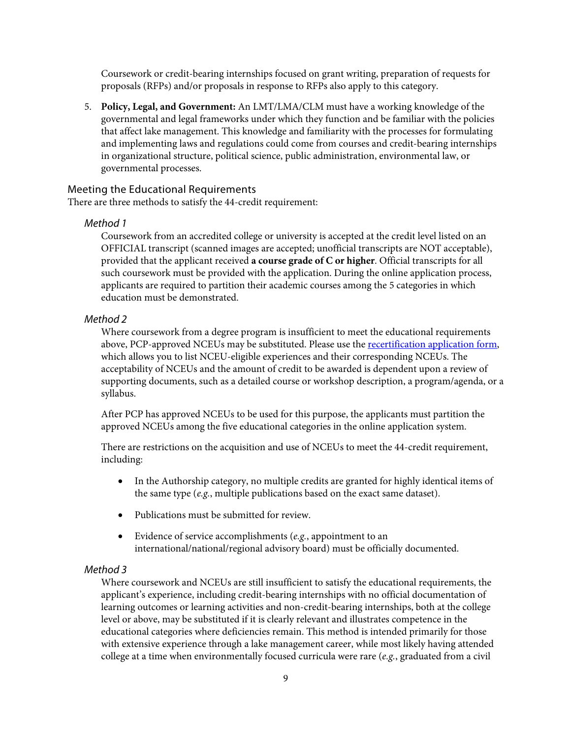Coursework or credit-bearing internships focused on grant writing, preparation of requests for proposals (RFPs) and/or proposals in response to RFPs also apply to this category.

5. **Policy, Legal, and Government:** An LMT/LMA/CLM must have a working knowledge of the governmental and legal frameworks under which they function and be familiar with the policies that affect lake management. This knowledge and familiarity with the processes for formulating and implementing laws and regulations could come from courses and credit-bearing internships in organizational structure, political science, public administration, environmental law, or governmental processes.

#### Meeting the Educational Requirements

There are three methods to satisfy the 44-credit requirement:

#### *Method 1*

Coursework from an accredited college or university is accepted at the credit level listed on an OFFICIAL transcript (scanned images are accepted; unofficial transcripts are NOT acceptable), provided that the applicant received **a course grade of C or higher**. Official transcripts for all such coursework must be provided with the application. During the online application process, applicants are required to partition their academic courses among the 5 categories in which education must be demonstrated.

#### *Method 2*

Where coursework from a degree program is insufficient to meet the educational requirements above, PCP-approved NCEUs may be substituted. Please use the [recertification application form](https://www.nalms.org/nalms-certification-program/nalms-re-certification-application/), which allows you to list NCEU-eligible experiences and their corresponding NCEUs. The acceptability of NCEUs and the amount of credit to be awarded is dependent upon a review of supporting documents, such as a detailed course or workshop description, a program/agenda, or a syllabus.

After PCP has approved NCEUs to be used for this purpose, the applicants must partition the approved NCEUs among the five educational categories in the online application system.

There are restrictions on the acquisition and use of NCEUs to meet the 44-credit requirement, including:

- In the Authorship category, no multiple credits are granted for highly identical items of the same type (*e.g.*, multiple publications based on the exact same dataset).
- Publications must be submitted for review
- Evidence of service accomplishments (*e.g.*, appointment to an international/national/regional advisory board) must be officially documented.

#### *Method 3*

Where coursework and NCEUs are still insufficient to satisfy the educational requirements, the applicant's experience, including credit-bearing internships with no official documentation of learning outcomes or learning activities and non-credit-bearing internships, both at the college level or above, may be substituted if it is clearly relevant and illustrates competence in the educational categories where deficiencies remain. This method is intended primarily for those with extensive experience through a lake management career, while most likely having attended college at a time when environmentally focused curricula were rare (*e.g.*, graduated from a civil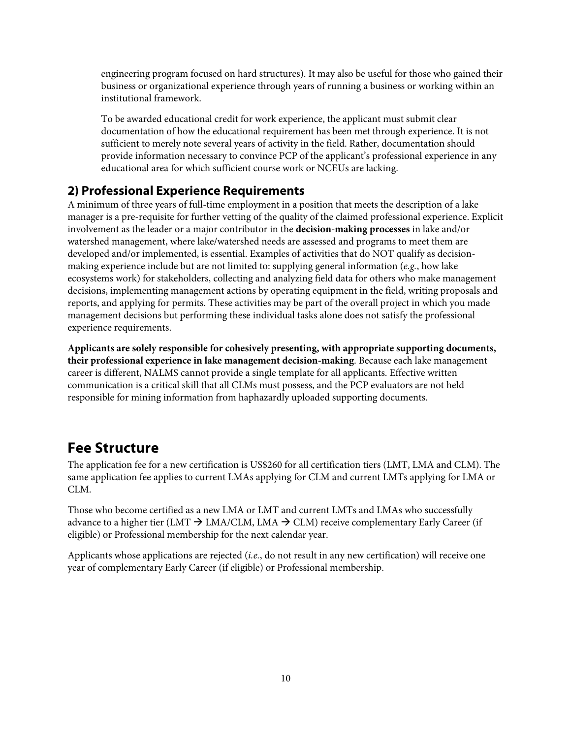engineering program focused on hard structures). It may also be useful for those who gained their business or organizational experience through years of running a business or working within an institutional framework.

To be awarded educational credit for work experience, the applicant must submit clear documentation of how the educational requirement has been met through experience. It is not sufficient to merely note several years of activity in the field. Rather, documentation should provide information necessary to convince PCP of the applicant's professional experience in any educational area for which sufficient course work or NCEUs are lacking.

### **2) Professional Experience Requirements**

A minimum of three years of full-time employment in a position that meets the description of a lake manager is a pre-requisite for further vetting of the quality of the claimed professional experience. Explicit involvement as the leader or a major contributor in the **decision-making processes** in lake and/or watershed management, where lake/watershed needs are assessed and programs to meet them are developed and/or implemented, is essential. Examples of activities that do NOT qualify as decisionmaking experience include but are not limited to: supplying general information (*e.g.*, how lake ecosystems work) for stakeholders, collecting and analyzing field data for others who make management decisions, implementing management actions by operating equipment in the field, writing proposals and reports, and applying for permits. These activities may be part of the overall project in which you made management decisions but performing these individual tasks alone does not satisfy the professional experience requirements.

**Applicants are solely responsible for cohesively presenting, with appropriate supporting documents, their professional experience in lake management decision-making**. Because each lake management career is different, NALMS cannot provide a single template for all applicants. Effective written communication is a critical skill that all CLMs must possess, and the PCP evaluators are not held responsible for mining information from haphazardly uploaded supporting documents.

### **Fee Structure**

The application fee for a new certification is US\$260 for all certification tiers (LMT, LMA and CLM). The same application fee applies to current LMAs applying for CLM and current LMTs applying for LMA or CLM.

Those who become certified as a new LMA or LMT and current LMTs and LMAs who successfully advance to a higher tier (LMT  $\rightarrow$  LMA/CLM, LMA  $\rightarrow$  CLM) receive complementary Early Career (if eligible) or Professional membership for the next calendar year.

Applicants whose applications are rejected (*i.e.*, do not result in any new certification) will receive one year of complementary Early Career (if eligible) or Professional membership.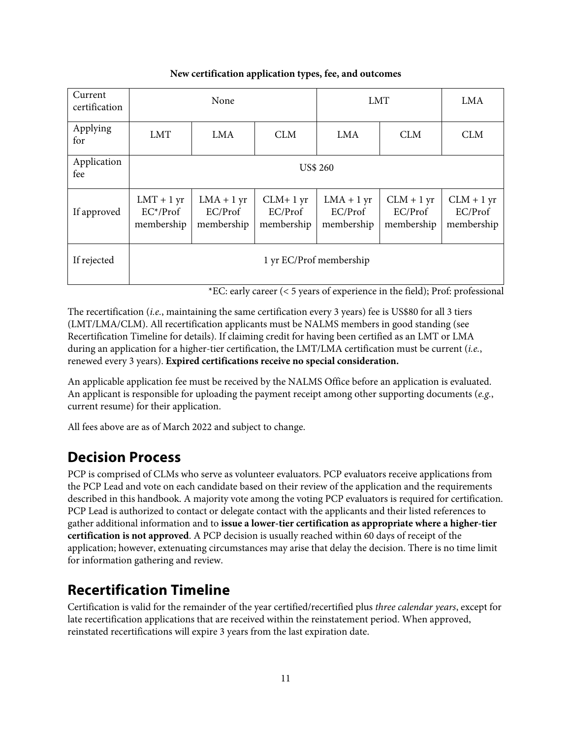#### **New certification application types, fee, and outcomes**

| Current<br>certification | None                                      |                                       |                                     | <b>LMT</b>                            |                                       | <b>LMA</b>                            |
|--------------------------|-------------------------------------------|---------------------------------------|-------------------------------------|---------------------------------------|---------------------------------------|---------------------------------------|
| Applying<br>for          | <b>LMT</b>                                | LMA                                   | <b>CLM</b>                          | <b>LMA</b>                            | <b>CLM</b>                            | <b>CLM</b>                            |
| Application<br>fee       | <b>US\$ 260</b>                           |                                       |                                     |                                       |                                       |                                       |
| If approved              | $LMT + 1 yr$<br>$EC^*/Prof$<br>membership | $LMA + 1 yr$<br>EC/Prof<br>membership | $CLM+1$ yr<br>EC/Prof<br>membership | $LMA + 1 yr$<br>EC/Prof<br>membership | $CLM + 1$ yr<br>EC/Prof<br>membership | $CLM + 1$ yr<br>EC/Prof<br>membership |
| If rejected              |                                           |                                       |                                     | 1 yr EC/Prof membership               |                                       |                                       |

\*EC: early career (< 5 years of experience in the field); Prof: professional

The recertification (*i.e.*, maintaining the same certification every 3 years) fee is US\$80 for all 3 tiers (LMT/LMA/CLM). All recertification applicants must be NALMS members in good standing (see Recertification Timeline for details). If claiming credit for having been certified as an LMT or LMA during an application for a higher-tier certification, the LMT/LMA certification must be current (*i.e.*, renewed every 3 years). **Expired certifications receive no special consideration.**

An applicable application fee must be received by the NALMS Office before an application is evaluated. An applicant is responsible for uploading the payment receipt among other supporting documents (*e.g.*, current resume) for their application.

All fees above are as of March 2022 and subject to change.

## **Decision Process**

PCP is comprised of CLMs who serve as volunteer evaluators. PCP evaluators receive applications from the PCP Lead and vote on each candidate based on their review of the application and the requirements described in this handbook. A majority vote among the voting PCP evaluators is required for certification. PCP Lead is authorized to contact or delegate contact with the applicants and their listed references to gather additional information and to **issue a lower-tier certification as appropriate where a higher-tier certification is not approved**. A PCP decision is usually reached within 60 days of receipt of the application; however, extenuating circumstances may arise that delay the decision. There is no time limit for information gathering and review.

## **Recertification Timeline**

Certification is valid for the remainder of the year certified/recertified plus *three calendar years*, except for late recertification applications that are received within the reinstatement period. When approved, reinstated recertifications will expire 3 years from the last expiration date.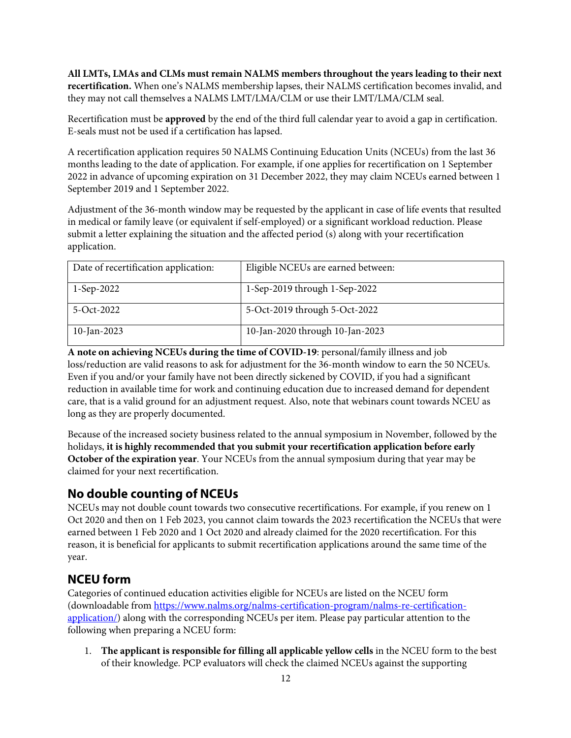**All LMTs, LMAs and CLMs must remain NALMS members throughout the years leading to their next recertification.** When one's NALMS membership lapses, their NALMS certification becomes invalid, and they may not call themselves a NALMS LMT/LMA/CLM or use their LMT/LMA/CLM seal.

Recertification must be **approved** by the end of the third full calendar year to avoid a gap in certification. E-seals must not be used if a certification has lapsed.

A recertification application requires 50 NALMS Continuing Education Units (NCEUs) from the last 36 months leading to the date of application. For example, if one applies for recertification on 1 September 2022 in advance of upcoming expiration on 31 December 2022, they may claim NCEUs earned between 1 September 2019 and 1 September 2022.

Adjustment of the 36-month window may be requested by the applicant in case of life events that resulted in medical or family leave (or equivalent if self-employed) or a significant workload reduction. Please submit a letter explaining the situation and the affected period (s) along with your recertification application.

| Date of recertification application: | Eligible NCEUs are earned between: |
|--------------------------------------|------------------------------------|
| $1-Sep-2022$                         | 1-Sep-2019 through 1-Sep-2022      |
| 5-Oct-2022                           | 5-Oct-2019 through 5-Oct-2022      |
| $10$ -Jan-2023                       | 10-Jan-2020 through 10-Jan-2023    |

**A note on achieving NCEUs during the time of COVID-19**: personal/family illness and job loss/reduction are valid reasons to ask for adjustment for the 36-month window to earn the 50 NCEUs. Even if you and/or your family have not been directly sickened by COVID, if you had a significant reduction in available time for work and continuing education due to increased demand for dependent care, that is a valid ground for an adjustment request. Also, note that webinars count towards NCEU as long as they are properly documented.

Because of the increased society business related to the annual symposium in November, followed by the holidays, **it is highly recommended that you submit your recertification application before early October of the expiration year**. Your NCEUs from the annual symposium during that year may be claimed for your next recertification.

### **No double counting of NCEUs**

NCEUs may not double count towards two consecutive recertifications. For example, if you renew on 1 Oct 2020 and then on 1 Feb 2023, you cannot claim towards the 2023 recertification the NCEUs that were earned between 1 Feb 2020 and 1 Oct 2020 and already claimed for the 2020 recertification. For this reason, it is beneficial for applicants to submit recertification applications around the same time of the year.

### **NCEU form**

Categories of continued education activities eligible for NCEUs are listed on the NCEU form (downloadable from https://www.nalms.org/nalms-certification-program/nalms-re-certificationapplication/) along with the corresponding NCEUs per item. Please pay particular attention to the following when preparing a NCEU form:

1. **The applicant is responsible for filling all applicable yellow cells** in the NCEU form to the best of their knowledge. PCP evaluators will check the claimed NCEUs against the supporting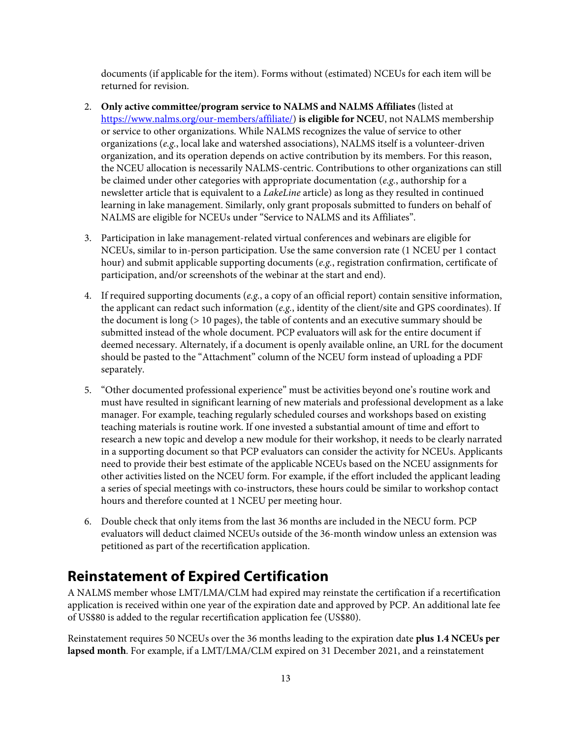documents (if applicable for the item). Forms without (estimated) NCEUs for each item will be returned for revision.

- 2. **Only active committee/program service to NALMS and NALMS Affiliates** (listed at https://www.nalms.org/our-members/affiliate/) **is eligible for NCEU**, not NALMS membership or service to other organizations. While NALMS recognizes the value of service to other organizations (*e.g.*, local lake and watershed associations), NALMS itself is a volunteer-driven organization, and its operation depends on active contribution by its members. For this reason, the NCEU allocation is necessarily NALMS-centric. Contributions to other organizations can still be claimed under other categories with appropriate documentation (*e.g.*, authorship for a newsletter article that is equivalent to a *LakeLine* article) as long as they resulted in continued learning in lake management. Similarly, only grant proposals submitted to funders on behalf of NALMS are eligible for NCEUs under "Service to NALMS and its Affiliates".
- 3. Participation in lake management-related virtual conferences and webinars are eligible for NCEUs, similar to in-person participation. Use the same conversion rate (1 NCEU per 1 contact hour) and submit applicable supporting documents (*e.g.*, registration confirmation, certificate of participation, and/or screenshots of the webinar at the start and end).
- 4. If required supporting documents (*e.g.*, a copy of an official report) contain sensitive information, the applicant can redact such information (*e.g.*, identity of the client/site and GPS coordinates). If the document is long (> 10 pages), the table of contents and an executive summary should be submitted instead of the whole document. PCP evaluators will ask for the entire document if deemed necessary. Alternately, if a document is openly available online, an URL for the document should be pasted to the "Attachment" column of the NCEU form instead of uploading a PDF separately.
- 5. "Other documented professional experience" must be activities beyond one's routine work and must have resulted in significant learning of new materials and professional development as a lake manager. For example, teaching regularly scheduled courses and workshops based on existing teaching materials is routine work. If one invested a substantial amount of time and effort to research a new topic and develop a new module for their workshop, it needs to be clearly narrated in a supporting document so that PCP evaluators can consider the activity for NCEUs. Applicants need to provide their best estimate of the applicable NCEUs based on the NCEU assignments for other activities listed on the NCEU form. For example, if the effort included the applicant leading a series of special meetings with co-instructors, these hours could be similar to workshop contact hours and therefore counted at 1 NCEU per meeting hour.
- 6. Double check that only items from the last 36 months are included in the NECU form. PCP evaluators will deduct claimed NCEUs outside of the 36-month window unless an extension was petitioned as part of the recertification application.

### **Reinstatement of Expired Certification**

A NALMS member whose LMT/LMA/CLM had expired may reinstate the certification if a recertification application is received within one year of the expiration date and approved by PCP. An additional late fee of US\$80 is added to the regular recertification application fee (US\$80).

Reinstatement requires 50 NCEUs over the 36 months leading to the expiration date **plus 1.4 NCEUs per lapsed month**. For example, if a LMT/LMA/CLM expired on 31 December 2021, and a reinstatement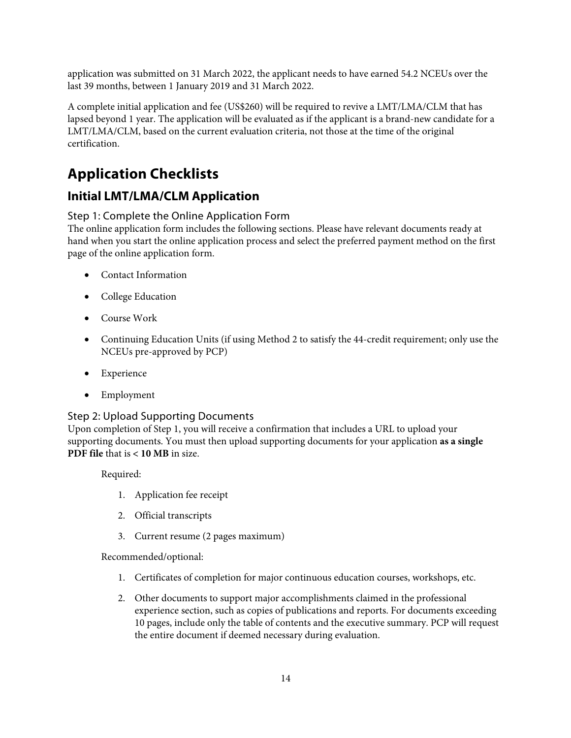application was submitted on 31 March 2022, the applicant needs to have earned 54.2 NCEUs over the last 39 months, between 1 January 2019 and 31 March 2022.

A complete initial application and fee (US\$260) will be required to revive a LMT/LMA/CLM that has lapsed beyond 1 year. The application will be evaluated as if the applicant is a brand-new candidate for a LMT/LMA/CLM, based on the current evaluation criteria, not those at the time of the original certification.

## **Application Checklists**

### **Initial LMT/LMA/CLM Application**

### Step 1: Complete the Online Application Form

The online application form includes the following sections. Please have relevant documents ready at hand when you start the online application process and select the preferred payment method on the first page of the online application form.

- Contact Information
- College Education
- Course Work
- Continuing Education Units (if using Method 2 to satisfy the 44-credit requirement; only use the NCEUs pre-approved by PCP)
- Experience
- Employment

### Step 2: Upload Supporting Documents

Upon completion of Step 1, you will receive a confirmation that includes a URL to upload your supporting documents. You must then upload supporting documents for your application **as a single PDF file** that is **< 10 MB** in size.

Required:

- 1. Application fee receipt
- 2. Official transcripts
- 3. Current resume (2 pages maximum)

Recommended/optional:

- 1. Certificates of completion for major continuous education courses, workshops, etc.
- 2. Other documents to support major accomplishments claimed in the professional experience section, such as copies of publications and reports. For documents exceeding 10 pages, include only the table of contents and the executive summary. PCP will request the entire document if deemed necessary during evaluation.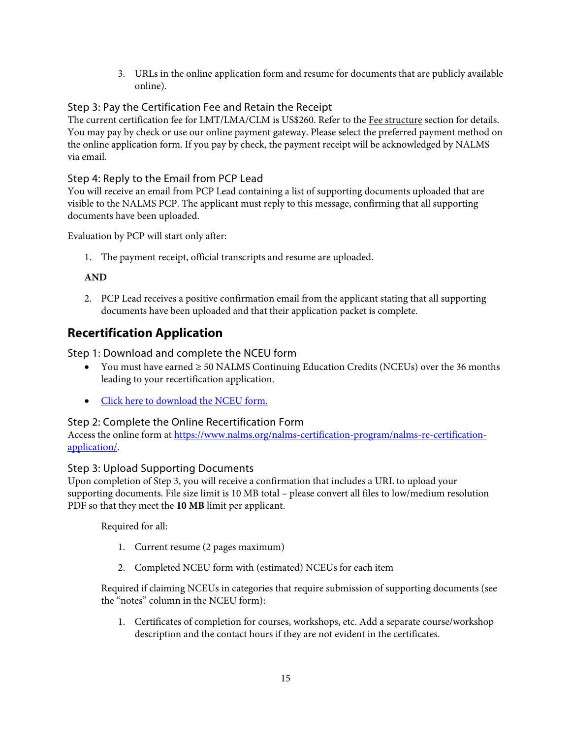3. URLs in the online application form and resume for documents that are publicly available online).

### Step 3: Pay the Certification Fee and Retain the Receipt

The current certification fee for LMT/LMA/CLM is US\$260. Refer to the Fee structure section for details. You may pay by check or use our online payment gateway. Please select the preferred payment method on the online application form. If you pay by check, the payment receipt will be acknowledged by NALMS via email.

### Step 4: Reply to the Email from PCP Lead

You will receive an email from PCP Lead containing a list of supporting documents uploaded that are visible to the NALMS PCP. The applicant must reply to this message, confirming that all supporting documents have been uploaded.

Evaluation by PCP will start only after:

1. The payment receipt, official transcripts and resume are uploaded.

#### **AND**

2. PCP Lead receives a positive confirmation email from the applicant stating that all supporting documents have been uploaded and that their application packet is complete.

### **Recertification Application**

Step 1: Download and complete the NCEU form

- You must have earned ≥ 50 NALMS Continuing Education Credits (NCEUs) over the 36 months leading to your recertification application.
- [Click here to download the NCEU form.](https://www.nalms.org/wp-content/uploads/2019/08/NCEU_table_2022_revision2.xlsx)

#### Step 2: Complete the Online Recertification Form

[Access the online form at https://www.nalms.org/nalms-certification-program/nalms-re-certification](https://www.nalms.org/nalms-certification-program/nalms-re-certification-application/)application/.

#### Step 3: Upload Supporting Documents

Upon completion of Step 3, you will receive a confirmation that includes a URL to upload your supporting documents. File size limit is 10 MB total – please convert all files to low/medium resolution PDF so that they meet the **10 MB** limit per applicant.

Required for all:

- 1. Current resume (2 pages maximum)
- 2. Completed NCEU form with (estimated) NCEUs for each item

Required if claiming NCEUs in categories that require submission of supporting documents (see the "notes" column in the NCEU form):

1. Certificates of completion for courses, workshops, etc. Add a separate course/workshop description and the contact hours if they are not evident in the certificates.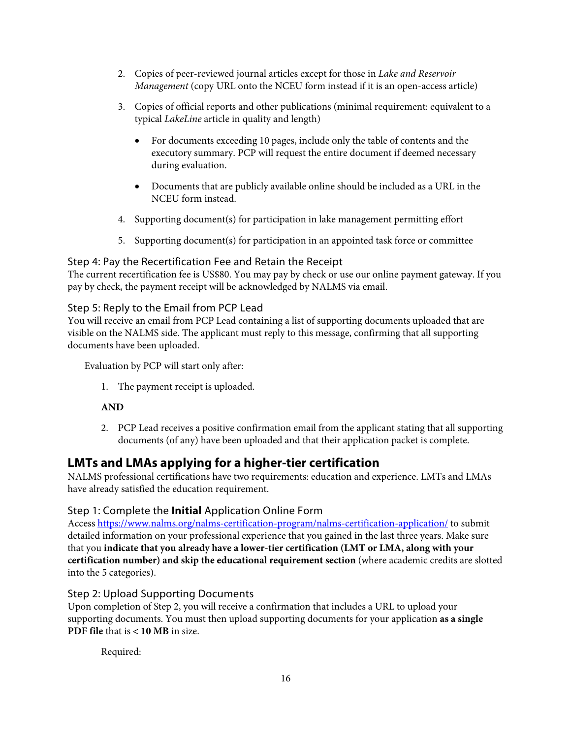- 2. Copies of peer-reviewed journal articles except for those in *Lake and Reservoir Management* (copy URL onto the NCEU form instead if it is an open-access article)
- 3. Copies of official reports and other publications (minimal requirement: equivalent to a typical *LakeLine* article in quality and length)
	- For documents exceeding 10 pages, include only the table of contents and the executory summary. PCP will request the entire document if deemed necessary during evaluation.
	- Documents that are publicly available online should be included as a URL in the NCEU form instead.
- 4. Supporting document(s) for participation in lake management permitting effort
- 5. Supporting document(s) for participation in an appointed task force or committee

### Step 4: Pay the Recertification Fee and Retain the Receipt

The current recertification fee is US\$80. You may pay by check or use our online payment gateway. If you pay by check, the payment receipt will be acknowledged by NALMS via email.

### Step 5: Reply to the Email from PCP Lead

You will receive an email from PCP Lead containing a list of supporting documents uploaded that are visible on the NALMS side. The applicant must reply to this message, confirming that all supporting documents have been uploaded.

Evaluation by PCP will start only after:

1. The payment receipt is uploaded.

### **AND**

2. PCP Lead receives a positive confirmation email from the applicant stating that all supporting documents (of any) have been uploaded and that their application packet is complete.

### **LMTs and LMAs applying for a higher-tier certification**

NALMS professional certifications have two requirements: education and experience. LMTs and LMAs have already satisfied the education requirement.

#### Step 1: Complete the **Initial** Application Online Form

Access https://www.nalms.org/nalms-certification-program/nalms-certification-application/ to submit detailed information on your professional experience that you gained in the last three years. Make sure that you **indicate that you already have a lower-tier certification (LMT or LMA, along with your certification number) and skip the educational requirement section** (where academic credits are slotted into the 5 categories).

### Step 2: Upload Supporting Documents

Upon completion of Step 2, you will receive a confirmation that includes a URL to upload your supporting documents. You must then upload supporting documents for your application **as a single PDF file** that is **< 10 MB** in size.

Required: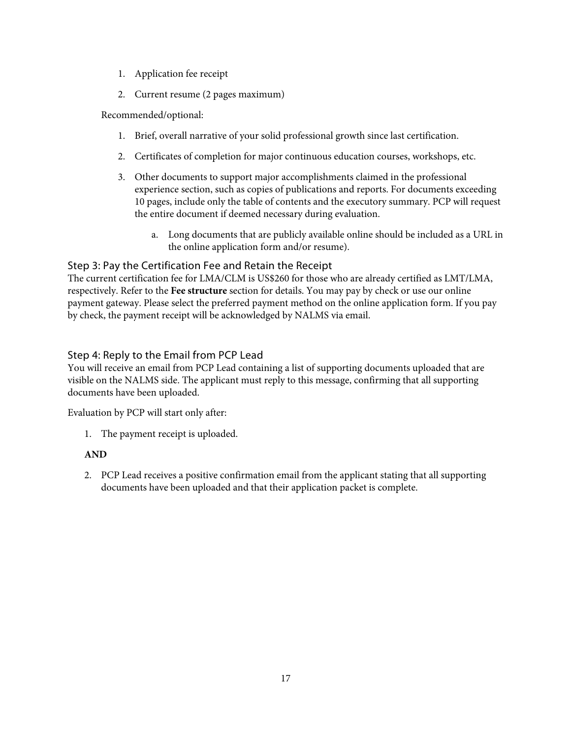- 1. Application fee receipt
- 2. Current resume (2 pages maximum)

### Recommended/optional:

- 1. Brief, overall narrative of your solid professional growth since last certification.
- 2. Certificates of completion for major continuous education courses, workshops, etc.
- 3. Other documents to support major accomplishments claimed in the professional experience section, such as copies of publications and reports. For documents exceeding 10 pages, include only the table of contents and the executory summary. PCP will request the entire document if deemed necessary during evaluation.
	- a. Long documents that are publicly available online should be included as a URL in the online application form and/or resume).

### Step 3: Pay the Certification Fee and Retain the Receipt

The current certification fee for LMA/CLM is US\$260 for those who are already certified as LMT/LMA, respectively. Refer to the **Fee structure** section for details. You may pay by check or use our online payment gateway. Please select the preferred payment method on the online application form. If you pay by check, the payment receipt will be acknowledged by NALMS via email.

### Step 4: Reply to the Email from PCP Lead

You will receive an email from PCP Lead containing a list of supporting documents uploaded that are visible on the NALMS side. The applicant must reply to this message, confirming that all supporting documents have been uploaded.

Evaluation by PCP will start only after:

1. The payment receipt is uploaded.

#### **AND**

2. PCP Lead receives a positive confirmation email from the applicant stating that all supporting documents have been uploaded and that their application packet is complete.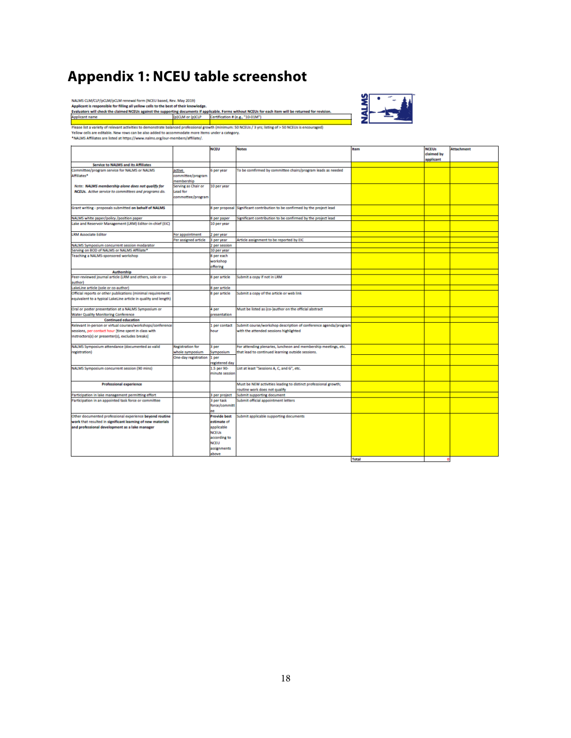# **Appendix 1: NCEU table screenshot**

NALMS  $\text{CM}/\text{CD}/p\text{CD}/M/\text{CD}/M$  renewal form (NCEU based, Rev. May 2019)<br>Applicant is responsible for filling all yellow cells to the best of their knowledge.<br>Evaluators will check the claimed NCEUs against the supporting



|                                                                 |                         | <b>NCEU</b>                       | <b>Notes</b>                                                    | <b>Item</b>  | <b>NCEUs</b><br>claimed by<br>applicant | <b>Attachment</b> |
|-----------------------------------------------------------------|-------------------------|-----------------------------------|-----------------------------------------------------------------|--------------|-----------------------------------------|-------------------|
| Service to NALMS and its Affiliates                             |                         |                                   |                                                                 |              |                                         |                   |
| Committee/program service for NALMS or NALMS                    | active                  | 6 per year                        | To be comfirmed by committee chairs/program leads as needed     |              |                                         |                   |
| Affiliates*                                                     | committee/program       |                                   |                                                                 |              |                                         |                   |
|                                                                 | nembership              |                                   |                                                                 |              |                                         |                   |
| Note: NALMS membership alone does not qualify for               | Serving as Chair or     | 10 per year                       |                                                                 |              |                                         |                   |
| NCEUs. Active service to committees and programs do.            | ead for                 |                                   |                                                                 |              |                                         |                   |
|                                                                 | commottee/program       |                                   |                                                                 |              |                                         |                   |
| Grant writing - proposals submitted on behalf of NALMS          |                         | 8 per proposal                    | Significant contribution to be confirmed by the project lead    |              |                                         |                   |
| NALMS white paper/policy /position paper                        |                         | 8 per paper                       | Significant contribution to be confirmed by the project lead    |              |                                         |                   |
| Lake and Reservoir Management (LRM) Editor-in-chief (EIC)       |                         | 10 per year                       |                                                                 |              |                                         |                   |
| <b>LRM Associate Editor</b>                                     | For appointment         | 2 per year                        |                                                                 |              |                                         |                   |
|                                                                 | er assigned article     | 3 per year                        | Article assignment to be reported by EIC                        |              |                                         |                   |
| NALMS Symposium concurrent session modarator                    |                         | 2 per session                     |                                                                 |              |                                         |                   |
| Serving on BOD of NALMS or NALMS Affiliate*                     |                         | 10 per year                       |                                                                 |              |                                         |                   |
| Teaching a NALMS-sponsored workshop                             |                         | 8 per each                        |                                                                 |              |                                         |                   |
|                                                                 |                         | workshop                          |                                                                 |              |                                         |                   |
|                                                                 |                         | offering                          |                                                                 |              |                                         |                   |
| Authorship                                                      |                         |                                   |                                                                 |              |                                         |                   |
| Peer-reviewed journal article (LRM and others, sole or co-      |                         | 8 per article                     | Submit a copy if not in LRM                                     |              |                                         |                   |
| author)                                                         |                         |                                   |                                                                 |              |                                         |                   |
| LakeLine article (sole or co-author)                            |                         | 8 per article                     |                                                                 |              |                                         |                   |
| Official reports or other publications (minimal requirement:    |                         | 8 per article                     | Submit a copy of the article or web link                        |              |                                         |                   |
| equivalent to a typical LakeLine article in quality and length) |                         |                                   |                                                                 |              |                                         |                   |
| Oral or poster presentation at a NALMS Symposium or             |                         | 4 per                             | Must be listed as (co-)author on the official abstract          |              |                                         |                   |
| <b>Water Quality Monitoring Conference</b>                      |                         | presentation                      |                                                                 |              |                                         |                   |
| <b>Continued education</b>                                      |                         |                                   |                                                                 |              |                                         |                   |
| Relevant in-person or virtual courses/workshops/conference      |                         | 1 per contact                     | Submit course/workshop description of conference agenda/program |              |                                         |                   |
| sessions, per contact hour [time spent in class with            |                         | hour                              | with the attended sessions highlighted                          |              |                                         |                   |
| instroctors(s) or presenter(s), excludes breaks)                |                         |                                   |                                                                 |              |                                         |                   |
| NALMS Symposium attendance (documented as valid                 | <b>Registration for</b> | 3 per                             | For attending plenaries, luncheon and membership meetings, etc. |              |                                         |                   |
| registration)                                                   | whole symposium         | Symposium                         | that lead to continued learning outside sessions.               |              |                                         |                   |
|                                                                 | One-day registration    | 1 per                             |                                                                 |              |                                         |                   |
|                                                                 |                         | registered day                    |                                                                 |              |                                         |                   |
| NALMS Symposium concurrent session (90 mins)                    |                         | 1.5 per 90-<br>minute session     | List at least "Sessions A, C, and G", etc.                      |              |                                         |                   |
| <b>Professional experience</b>                                  |                         |                                   | Must be NEW activities leading to distinct professional growth; |              |                                         |                   |
|                                                                 |                         |                                   | routine work does not qualify                                   |              |                                         |                   |
| Participation in lake management permitting effort              |                         | 3 per project                     | Submit supporting document                                      |              |                                         |                   |
| Participation in an appointed task force or committee           |                         | 3 per task<br>force/committ<br>٥ċ | Submit official appointment letters                             |              |                                         |                   |
| Other documented professional experience beyond routine         |                         | <b>Provide best</b>               | Submit applicable supporting documents                          |              |                                         |                   |
| work that resulted in significant learning of new materials     |                         | estimate of                       |                                                                 |              |                                         |                   |
| and professional development as a lake manager                  |                         | applicable                        |                                                                 |              |                                         |                   |
|                                                                 |                         | <b>NCEUs</b>                      |                                                                 |              |                                         |                   |
|                                                                 |                         | according to                      |                                                                 |              |                                         |                   |
|                                                                 |                         | <b>NCEU</b>                       |                                                                 |              |                                         |                   |
|                                                                 |                         | assignments                       |                                                                 |              |                                         |                   |
|                                                                 |                         | above                             |                                                                 |              |                                         |                   |
|                                                                 |                         |                                   |                                                                 | <b>Total</b> |                                         |                   |